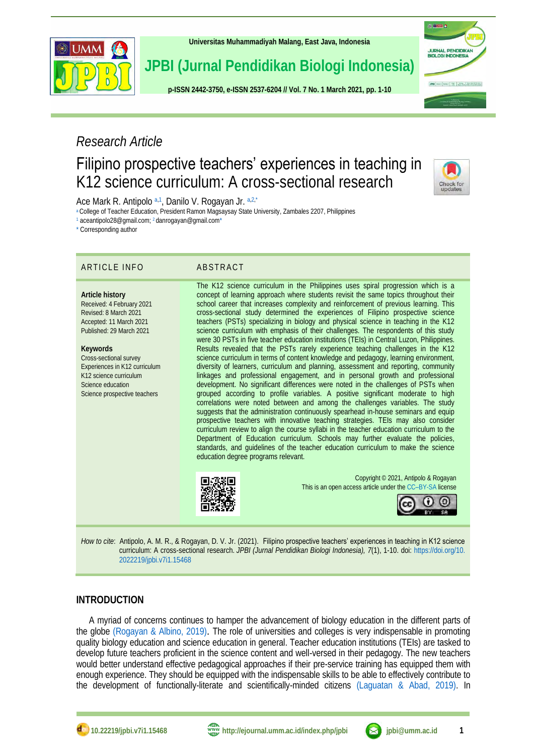

**[Universitas Muhammadiyah Malang,](http://ejournal.umm.ac.id/) East Java, Indonesia**

# **JPBI (Jurnal Pendidikan Biologi Indonesia)**

**p-ISS[N 2442-3750,](http://u.lipi.go.id/1422867894) e-ISSN [2537-6204](http://u.lipi.go.id/1460300524) // Vol. 7 No. 1 March 2021, pp. 1-10**

# *Research Article*

## Filipino prospective teachers' experiences in teaching in K12 science curriculum: A cross-sectional research



ii **nam** d

URNAL PENDIDIK<br>IOLOGI INDONESIA

JPRI | 1-1 | 1-1-1 | The | street | not presented

<span id="page-0-5"></span><span id="page-0-4"></span>Ace Mark R. Antipolo [a,](#page-0-0)[1](#page-0-1), Danilo V. Rogayan Jr. a,[2,](#page-0-2)[\\*](#page-0-3)

<span id="page-0-0"></span>[a](#page-0-4) College of Teacher Education, President Ramon Magsaysay State University, Zambales 2207, Philippines

<span id="page-0-2"></span><span id="page-0-1"></span>[1](#page-0-5) aceantipolo28@gmail.com[;](#page-0-6) <sup>2</sup> danrogayan@gmail.co[m\\*](#page-0-7)

<span id="page-0-3"></span>[\\*](#page-0-7) Corresponding author

#### ARTICLE INFO ABSTRACT

**Article history** Received: 4 February 2021 Revised: 8 March 2021 Accepted: 11 March 2021 Published: 29 March 2021

**Keywords** Cross-sectional survey Experiences in K12 curriculum K12 science curriculum Science education Science prospective teachers

<span id="page-0-7"></span><span id="page-0-6"></span>The K12 science curriculum in the Philippines uses spiral progression which is a concept of learning approach where students revisit the same topics throughout their school career that increases complexity and reinforcement of previous learning. This cross-sectional study determined the experiences of Filipino prospective science teachers (PSTs) specializing in biology and physical science in teaching in the K12 science curriculum with emphasis of their challenges. The respondents of this study were 30 PSTs in five teacher education institutions (TEIs) in Central Luzon, Philippines. Results revealed that the PSTs rarely experience teaching challenges in the K12 science curriculum in terms of content knowledge and pedagogy, learning environment, diversity of learners, curriculum and planning, assessment and reporting, community linkages and professional engagement, and in personal growth and professional development. No significant differences were noted in the challenges of PSTs when grouped according to profile variables. A positive significant moderate to high correlations were noted between and among the challenges variables. The study suggests that the administration continuously spearhead in-house seminars and equip prospective teachers with innovative teaching strategies. TEIs may also consider curriculum review to align the course syllabi in the teacher education curriculum to the Department of Education curriculum. Schools may further evaluate the policies, standards, and guidelines of the teacher education curriculum to make the science education degree programs relevant.



Copyright © 2021, Antipolo & Rogayan This is an open access article under the CC–[BY-SA](http://creativecommons.org/licenses/by-sa/4.0/) license



*How to cite*: Antipolo, A. M. R., & Rogayan, D. V. Jr. (2021). Filipino prospective teachers' experiences in teaching in K12 science curriculum: A cross-sectional research. *JPBI (Jurnal Pendidikan Biologi Indonesia), 7*(1), 1-10. doi: [https://doi.org/10.](https://doi.org/10.%202022219/jpbi.v7i1.15468) [2022219/jpbi.v7i1.15468](https://doi.org/10.%202022219/jpbi.v7i1.15468)

### **INTRODUCTION**

A myriad of concerns continues to hamper the advancement of biology education in the different parts of the globe [\(Rogayan & Albino, 2019\)](#page-8-0). The role of universities and colleges is very indispensable in promoting quality biology education and science education in general. Teacher education institutions (TEIs) are tasked to develop future teachers proficient in the science content and well-versed in their pedagogy. The new teachers would better understand effective pedagogical approaches if their pre-service training has equipped them with enough experience. They should be equipped with the indispensable skills to be able to effectively contribute to the development of functionally-literate and scientifically-minded citizens [\(Laguatan & Abad, 2019\).](#page-7-0) In

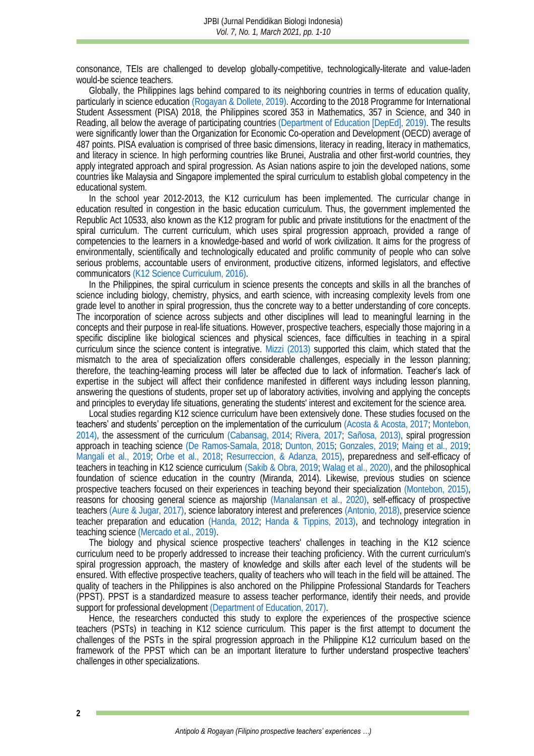consonance, TEIs are challenged to develop globally-competitive, technologically-literate and value-laden would-be science teachers.

Globally, the Philippines lags behind compared to its neighboring countries in terms of education quality, particularly in science education [\(Rogayan & Dollete, 2019\).](#page-8-1) According to the 2018 Programme for International Student Assessment (PISA) 2018, the Philippines scored 353 in Mathematics, 357 in Science, and 340 in Reading, all below the average of participating countries [\(Department of Education \[DepEd\], 2019\).](#page-7-1) The results were significantly lower than the Organization for Economic Co-operation and Development (OECD) average of 487 points. PISA evaluation is comprised of three basic dimensions, literacy in reading, literacy in mathematics, and literacy in science. In high performing countries like Brunei, Australia and other first-world countries, they apply integrated approach and spiral progression. As Asian nations aspire to join the developed nations, some countries like Malaysia and Singapore implemented the spiral curriculum to establish global competency in the educational system.

In the school year 2012-2013, the K12 curriculum has been implemented. The curricular change in education resulted in congestion in the basic education curriculum. Thus, the government implemented the Republic Act 10533, also known as the K12 program for public and private institutions for the enactment of the spiral curriculum. The current curriculum, which uses spiral progression approach, provided a range of competencies to the learners in a knowledge-based and world of work civilization. It aims for the progress of environmentally, scientifically and technologically educated and prolific community of people who can solve serious problems, accountable users of environment, productive citizens, informed legislators, and effective communicators [\(K12 Science Curriculum, 2016\).](#page-7-2) 

In the Philippines, the spiral curriculum in science presents the concepts and skills in all the branches of science including biology, chemistry, physics, and earth science, with increasing complexity levels from one grade level to another in spiral progression, thus the concrete way to a better understanding of core concepts. The incorporation of science across subjects and other disciplines will lead to meaningful learning in the concepts and their purpose in real-life situations. However, prospective teachers, especially those majoring in a specific discipline like biological sciences and physical sciences, face difficulties in teaching in a spiral curriculum since the science content is integrative. [Mizzi \(2013\)](#page-8-2) supported this claim, which stated that the mismatch to the area of specialization offers considerable challenges, especially in the lesson planning; therefore, the teaching-learning process will later be affected due to lack of information. Teacher's lack of expertise in the subject will affect their confidence manifested in different ways including lesson planning, answering the questions of students, proper set up of laboratory activities, involving and applying the concepts and principles to everyday life situations, generating the students' interest and excitement for the science area.

Local studies regarding K12 science curriculum have been extensively done. These studies focused on the teachers' and students' perception on the implementation of the curriculum [\(Acosta & Acosta, 2017;](#page-6-0) [Montebon,](#page-8-3)  [2014\),](#page-8-3) the assessment of the curriculum [\(Cabansag, 2014;](#page-7-3) [Rivera, 2017;](#page-8-4) [Sañosa, 2013\),](#page-8-5) spiral progression approach in teaching science [\(De Ramos-Samala, 2018;](#page-7-4) [Dunton, 2015;](#page-7-5) [Gonzales, 2019;](#page-7-6) [Maing et al., 2019;](#page-7-7) [Mangali et al., 2019;](#page-7-8) [Orbe et al., 2018;](#page-8-6) [Resurreccion, & Adanza, 2015\),](#page-8-7) preparedness and self-efficacy of teachers in teaching in K12 science curriculum [\(Sakib & Obra, 2019;](#page-8-8) [Walag et al., 2020\),](#page-9-0) and the philosophical foundation of science education in the country (Miranda, 2014). Likewise, previous studies on science prospective teachers focused on their experiences in teaching beyond their specialization [\(Montebon, 2015\),](#page-8-3) reasons for choosing general science as majorship [\(Manalansan et al., 2020\),](#page-7-9) self-efficacy of prospective teachers [\(Aure & Jugar, 2017\),](#page-7-10) science laboratory interest and preferences [\(Antonio, 2018\),](#page-6-1) preservice science teacher preparation and education [\(Handa, 2012;](#page-7-11) [Handa & Tippins, 2013\),](#page-7-12) and technology integration in teaching science [\(Mercado et al., 2019\).](#page-8-9)

The biology and physical science prospective teachers' challenges in teaching in the K12 science curriculum need to be properly addressed to increase their teaching proficiency. With the current curriculum's spiral progression approach, the mastery of knowledge and skills after each level of the students will be ensured. With effective prospective teachers, quality of teachers who will teach in the field will be attained. The quality of teachers in the Philippines is also anchored on the Philippine Professional Standards for Teachers (PPST). PPST is a standardized measure to assess teacher performance, identify their needs, and provide support for professional development [\(Department of Education, 2017\).](#page-7-13)

Hence, the researchers conducted this study to explore the experiences of the prospective science teachers (PSTs) in teaching in K12 science curriculum. This paper is the first attempt to document the challenges of the PSTs in the spiral progression approach in the Philippine K12 curriculum based on the framework of the PPST which can be an important literature to further understand prospective teachers' challenges in other specializations.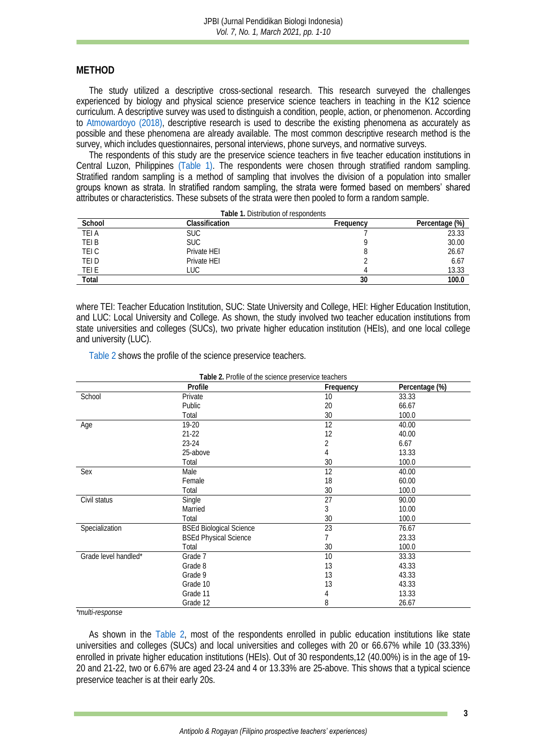#### **METHOD**

The study utilized a descriptive cross-sectional research. This research surveyed the challenges experienced by biology and physical science preservice science teachers in teaching in the K12 science curriculum. A descriptive survey was used to distinguish a condition, people, action, or phenomenon. According to [Atmowardoyo](#page-6-2) (2018), descriptive research is used to describe the existing phenomena as accurately as possible and these phenomena are already available. The most common descriptive research method is the survey, which includes questionnaires, personal interviews, phone surveys, and normative surveys.

The respondents of this study are the preservice science teachers in five teacher education institutions in Central Luzon, Philippines [\(Table 1\).](#page-2-0) The respondents were chosen through stratified random sampling. Stratified random sampling is a method of sampling that involves the division of a population into smaller groups known as strata. In stratified random sampling, the strata were formed based on members' shared attributes or characteristics. These subsets of the strata were then pooled to form a random sample.

**Table 1.** Distribution of respondents

<span id="page-2-0"></span>

| School       | Classification | Frequency | Percentage (%) |
|--------------|----------------|-----------|----------------|
| <b>TEI A</b> | <b>SUC</b>     |           | 23.33          |
| TEI B        | <b>SUC</b>     |           | 30.00          |
| TEI C        | Private HEI    |           | 26.67          |
| TEI D        | Private HEI    |           | 6.67           |
| TEI E        | _UC            |           | 13.33          |
| Total        |                | 30        | 00.0           |

where TEI: Teacher Education Institution, SUC: State University and College, HEI: Higher Education Institution, and LUC: Local University and College. As shown, the study involved two teacher education institutions from state universities and colleges (SUCs), two private higher education institution (HEIs), and one local college and university (LUC).

[Table 2](#page-2-1) shows the profile of the science preservice teachers.

<span id="page-2-1"></span>

|                      | Profile                        | Frequency | Percentage (%) |
|----------------------|--------------------------------|-----------|----------------|
| School               | Private                        | 10        | 33.33          |
|                      | Public                         | 20        | 66.67          |
|                      | Total                          | 30        | 100.0          |
| Age                  | 19-20                          | 12        | 40.00          |
|                      | $21 - 22$                      | 12        | 40.00          |
|                      | $23 - 24$                      | 2         | 6.67           |
|                      | 25-above                       | 4         | 13.33          |
|                      | Total                          | 30        | 100.0          |
| Sex                  | Male                           | 12        | 40.00          |
|                      | Female                         | 18        | 60.00          |
|                      | Total                          | 30        | 100.0          |
| Civil status         | Single                         | 27        | 90.00          |
|                      | Married                        | 3         | 10.00          |
|                      | Total                          | 30        | 100.0          |
| Specialization       | <b>BSEd Biological Science</b> | 23        | 76.67          |
|                      | <b>BSEd Physical Science</b>   |           | 23.33          |
|                      | Total                          | 30        | 100.0          |
| Grade level handled* | Grade 7                        | 10        | 33.33          |
|                      | Grade 8                        | 13        | 43.33          |
|                      | Grade 9                        | 13        | 43.33          |
|                      | Grade 10                       | 13        | 43.33          |
|                      | Grade 11                       | 4         | 13.33          |
|                      | Grade 12                       | 8         | 26.67          |

**Table 2.** Profile of the science preservice teachers

*\*multi-response*

As shown in the [Table](#page-2-1) 2, most of the respondents enrolled in public education institutions like state universities and colleges (SUCs) and local universities and colleges with 20 or 66.67% while 10 (33.33%) enrolled in private higher education institutions (HEIs). Out of 30 respondents,12 (40.00%) is in the age of 19- 20 and 21-22, two or 6.67% are aged 23-24 and 4 or 13.33% are 25-above. This shows that a typical science preservice teacher is at their early 20s.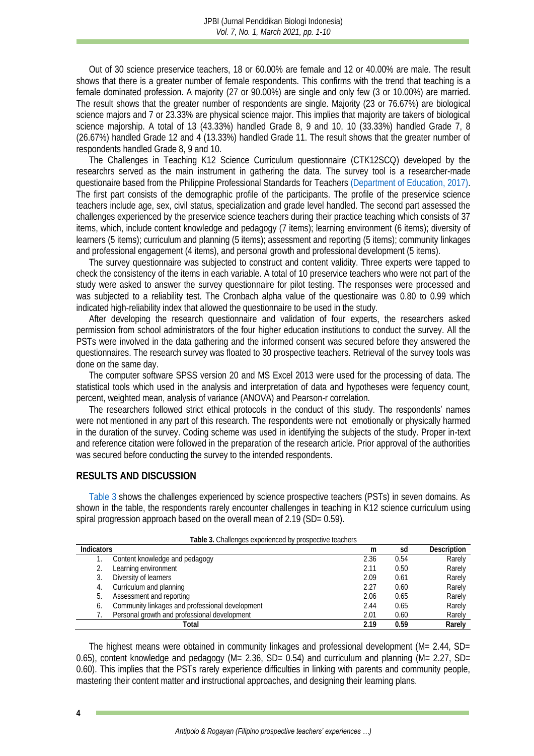Out of 30 science preservice teachers, 18 or 60.00% are female and 12 or 40.00% are male. The result shows that there is a greater number of female respondents. This confirms with the trend that teaching is a female dominated profession. A majority (27 or 90.00%) are single and only few (3 or 10.00%) are married. The result shows that the greater number of respondents are single. Majority (23 or 76.67%) are biological science majors and 7 or 23.33% are physical science major. This implies that majority are takers of biological science majorship. A total of 13 (43.33%) handled Grade 8, 9 and 10, 10 (33.33%) handled Grade 7, 8 (26.67%) handled Grade 12 and 4 (13.33%) handled Grade 11. The result shows that the greater number of respondents handled Grade 8, 9 and 10.

The Challenges in Teaching K12 Science Curriculum questionnaire (CTK12SCQ) developed by the researchrs served as the main instrument in gathering the data. The survey tool is a researcher-made questionaire based from the Philippine Professional Standards for Teachers [\(Department of Education, 2017\).](#page-7-13) The first part consists of the demographic profile of the participants. The profile of the preservice science teachers include age, sex, civil status, specialization and grade level handled. The second part assessed the challenges experienced by the preservice science teachers during their practice teaching which consists of 37 items, which, include content knowledge and pedagogy (7 items); learning environment (6 items); diversity of learners (5 items); curriculum and planning (5 items); assessment and reporting (5 items); community linkages and professional engagement (4 items), and personal growth and professional development (5 items).

The survey questionnaire was subjected to construct and content validity. Three experts were tapped to check the consistency of the items in each variable. A total of 10 preservice teachers who were not part of the study were asked to answer the survey questionnaire for pilot testing. The responses were processed and was subjected to a reliability test. The Cronbach alpha value of the questionaire was 0.80 to 0.99 which indicated high-reliability index that allowed the questionnaire to be used in the study.

After developing the research questionnaire and validation of four experts, the researchers asked permission from school administrators of the four higher education institutions to conduct the survey. All the PSTs were involved in the data gathering and the informed consent was secured before they answered the questionnaires. The research survey was floated to 30 prospective teachers. Retrieval of the survey tools was done on the same day.

The computer software SPSS version 20 and MS Excel 2013 were used for the processing of data. The statistical tools which used in the analysis and interpretation of data and hypotheses were fequency count, percent, weighted mean, analysis of variance (ANOVA) and Pearson-r correlation.

The researchers followed strict ethical protocols in the conduct of this study. The respondents' names were not mentioned in any part of this research. The respondents were not emotionally or physically harmed in the duration of the survey. Coding scheme was used in identifying the subjects of the study. Proper in-text and reference citation were followed in the preparation of the research article. Prior approval of the authorities was secured before conducting the survey to the intended respondents.

#### **RESULTS AND DISCUSSION**

[Table 3](#page-3-0) shows the challenges experienced by science prospective teachers (PSTs) in seven domains. As shown in the table, the respondents rarely encounter challenges in teaching in K12 science curriculum using spiral progression approach based on the overall mean of 2.19 (SD= 0.59).

**Table 3.** Challenges experienced by prospective teachers

<span id="page-3-0"></span>

| i apie 3. Crialienges experienced by prospective teachers. |                                                 |      |      |             |  |  |
|------------------------------------------------------------|-------------------------------------------------|------|------|-------------|--|--|
| <b>Indicators</b>                                          |                                                 | m    | sd   | Description |  |  |
|                                                            | Content knowledge and pedagogy                  | 2.36 | 0.54 | Rarely      |  |  |
|                                                            | Learning environment                            | 2.11 | 0.50 | Rarely      |  |  |
|                                                            | Diversity of learners                           | 2.09 | 0.61 | Rarely      |  |  |
|                                                            | Curriculum and planning                         | 2.27 | 0.60 | Rarely      |  |  |
|                                                            | Assessment and reporting                        | 2.06 | 0.65 | Rarely      |  |  |
| 6.                                                         | Community linkages and professional development | 2.44 | 0.65 | Rarely      |  |  |
|                                                            | Personal growth and professional development    | 2.01 | 0.60 | Rarely      |  |  |
| Total                                                      |                                                 |      | 0.59 | Rarely      |  |  |

The highest means were obtained in community linkages and professional development (M= 2.44, SD= 0.65), content knowledge and pedagogy ( $M = 2.36$ , SD= 0.54) and curriculum and planning ( $M = 2.27$ , SD= 0.60). This implies that the PSTs rarely experience difficulties in linking with parents and community people, mastering their content matter and instructional approaches, and designing their learning plans.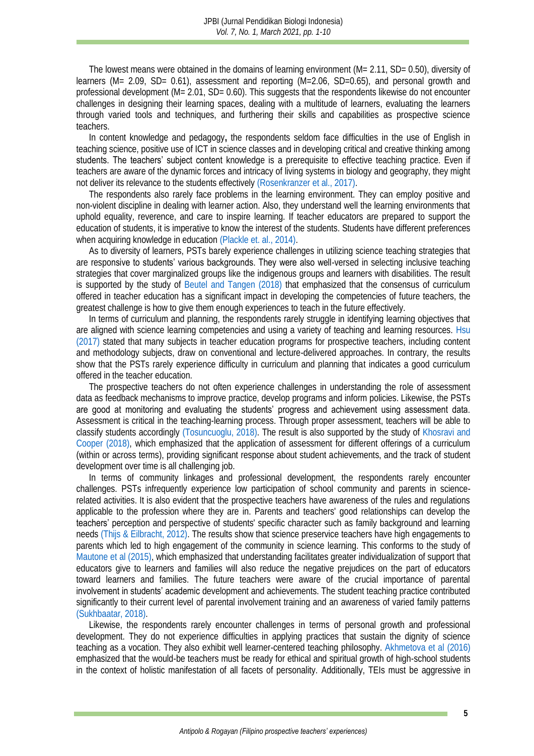The lowest means were obtained in the domains of learning environment (M= 2.11, SD= 0.50), diversity of learners (M= 2.09, SD= 0.61), assessment and reporting (M=2.06, SD=0.65), and personal growth and professional development (M= 2.01, SD= 0.60). This suggests that the respondents likewise do not encounter challenges in designing their learning spaces, dealing with a multitude of learners, evaluating the learners through varied tools and techniques, and furthering their skills and capabilities as prospective science teachers.

In content knowledge and pedagogy**,** the respondents seldom face difficulties in the use of English in teaching science, positive use of ICT in science classes and in developing critical and creative thinking among students. The teachers' subject content knowledge is a prerequisite to effective teaching practice. Even if teachers are aware of the dynamic forces and intricacy of living systems in biology and geography, they might not deliver its relevance to the students effectivel[y \(Rosenkranzer et al., 2017\).](#page-8-10)

The respondents also rarely face problems in the learning environment. They can employ positive and non-violent discipline in dealing with learner action. Also, they understand well the learning environments that uphold equality, reverence, and care to inspire learning. If teacher educators are prepared to support the education of students, it is imperative to know the interest of the students. Students have different preferences when acquiring knowledge in education [\(Plackle et. al., 2014\).](#page-8-11)

As to diversity of learners, PSTs barely experience challenges in utilizing science teaching strategies that are responsive to students' various backgrounds. They were also well-versed in selecting inclusive teaching strategies that cover marginalized groups like the indigenous groups and learners with disabilities. The result is supported by the study of [Beutel and Tangen \(2018\)](#page-7-14) that emphasized that the consensus of curriculum offered in teacher education has a significant impact in developing the competencies of future teachers, the greatest challenge is how to give them enough experiences to teach in the future effectively.

In terms of curriculum and planning, the respondents rarely struggle in identifying learning objectives that are aligned with science learning competencies and using a variety of teaching and learning resources. [Hsu](#page-7-15)  [\(2017\)](#page-7-15) stated that many subjects in teacher education programs for prospective teachers, including content and methodology subjects, draw on conventional and lecture-delivered approaches. In contrary, the results show that the PSTs rarely experience difficulty in curriculum and planning that indicates a good curriculum offered in the teacher education.

The prospective teachers do not often experience challenges in understanding the role of assessment data as feedback mechanisms to improve practice, develop programs and inform policies. Likewise, the PSTs are good at monitoring and evaluating the students' progress and achievement using assessment data. Assessment is critical in the teaching-learning process. Through proper assessment, teachers will be able to classify students accordingly [\(Tosuncuoglu, 2018\).](#page-9-1) The result is also supported by the study of [Khosravi and](#page-7-16)  [Cooper \(2018\),](#page-7-16) which emphasized that the application of assessment for different offerings of a curriculum (within or across terms), providing significant response about student achievements, and the track of student development over time is all challenging job.

In terms of community linkages and professional development, the respondents rarely encounter challenges. PSTs infrequently experience low participation of school community and parents in sciencerelated activities. It is also evident that the prospective teachers have awareness of the rules and regulations applicable to the profession where they are in. Parents and teachers' good relationships can develop the teachers' perception and perspective of students' specific character such as family background and learning needs [\(Thijs & Eilbracht, 2012\).](#page-8-12) The results show that science preservice teachers have high engagements to parents which led to high engagement of the community in science learning. This conforms to the study of [Mautone et al](#page-8-13) (2015), which emphasized that understanding facilitates greater individualization of support that educators give to learners and families will also reduce the negative prejudices on the part of educators toward learners and families. The future teachers were aware of the crucial importance of parental involvement in students' academic development and achievements. The student teaching practice contributed significantly to their current level of parental involvement training and an awareness of varied family patterns [\(Sukhbaatar, 2018\).](#page-8-14) 

Likewise, the respondents rarely encounter challenges in terms of personal growth and professional development. They do not experience difficulties in applying practices that sustain the dignity of science teaching as a vocation. They also exhibit well learner-centered teaching philosophy. [Akhmetova et al](#page-6-3) (2016) emphasized that the would-be teachers must be ready for ethical and spiritual growth of high-school students in the context of holistic manifestation of all facets of personality. Additionally, TEIs must be aggressive in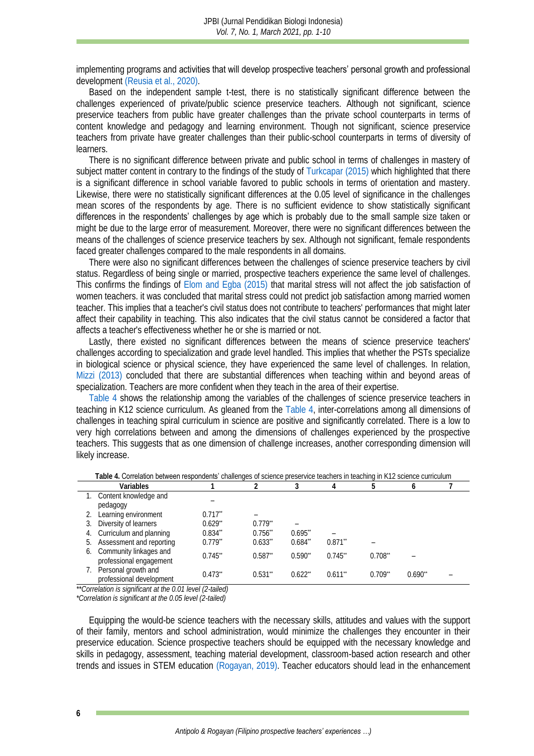implementing programs and activities that will develop prospective teachers' personal growth and professional development [\(Reusia et al., 2020\).](#page-8-15)

Based on the independent sample t-test, there is no statistically significant difference between the challenges experienced of private/public science preservice teachers. Although not significant, science preservice teachers from public have greater challenges than the private school counterparts in terms of content knowledge and pedagogy and learning environment. Though not significant, science preservice teachers from private have greater challenges than their public-school counterparts in terms of diversity of learners.

There is no significant difference between private and public school in terms of challenges in mastery of subject matter content in contrary to the findings of the study of [Turkcapar \(2015\)](#page-9-2) which highlighted that there is a significant difference in school variable favored to public schools in terms of orientation and mastery. Likewise, there were no statistically significant differences at the 0.05 level of significance in the challenges mean scores of the respondents by age. There is no sufficient evidence to show statistically significant differences in the respondents' challenges by age which is probably due to the small sample size taken or might be due to the large error of measurement. Moreover, there were no significant differences between the means of the challenges of science preservice teachers by sex. Although not significant, female respondents faced greater challenges compared to the male respondents in all domains.

There were also no significant differences between the challenges of science preservice teachers by civil status. Regardless of being single or married, prospective teachers experience the same level of challenges. This confirms the findings of [Elom and Egba \(2015\)](#page-7-17) that marital stress will not affect the job satisfaction of women teachers. it was concluded that marital stress could not predict job satisfaction among married women teacher. This implies that a teacher's civil status does not contribute to teachers' performances that might later affect their capability in teaching. This also indicates that the civil status cannot be considered a factor that affects a teacher's effectiveness whether he or she is married or not.

Lastly, there existed no significant differences between the means of science preservice teachers' challenges according to specialization and grade level handled. This implies that whether the PSTs specialize in biological science or physical science, they have experienced the same level of challenges. In relation, [Mizzi \(2013\)](#page-8-2) concluded that there are substantial differences when teaching within and beyond areas of specialization. Teachers are more confident when they teach in the area of their expertise.

[Table 4](#page-5-0) shows the relationship among the variables of the challenges of science preservice teachers in teaching in K12 science curriculum. As gleaned from the [Table](#page-5-0) 4, inter-correlations among all dimensions of challenges in teaching spiral curriculum in science are positive and significantly correlated. There is a low to very high correlations between and among the dimensions of challenges experienced by the prospective teachers. This suggests that as one dimension of challenge increases, another corresponding dimension will likely increase.

<span id="page-5-0"></span>

|    | Variables                                            |            |                       |        |            |             |        |  |
|----|------------------------------------------------------|------------|-----------------------|--------|------------|-------------|--------|--|
|    | 1. Content knowledge and<br>pedagogy                 |            |                       |        |            |             |        |  |
|    | Learning environment                                 | $0.717$ ** |                       |        |            |             |        |  |
| 3. | Diversity of learners                                | $0.629$ ** | $0.779$ <sup>**</sup> |        |            |             |        |  |
|    | 4. Curriculum and planning                           | $0.834$ ** | $0.756$ **            | 0.695" |            |             |        |  |
|    | 5. Assessment and reporting                          | $0.779**$  | $0.633**$             | 0.684" | $0.871$ ** |             |        |  |
|    | 6. Community linkages and<br>professional engagement | 0.745"     | $0.587$ **            | 0.590" | 0.745      | $0.708^*$   |        |  |
|    | Personal growth and<br>professional development      | 0.473      | $0.531$ **            | 0.622" | $0.611**$  | $0.709^{*}$ | 0.690" |  |

**Table 4.** Correlation between respondents' challenges of science preservice teachers in teaching in K12 science curriculum

*\*\*Correlation is significant at the 0.01 level (2-tailed)*

*\*Correlation is significant at the 0.05 level (2-tailed)*

Equipping the would-be science teachers with the necessary skills, attitudes and values with the support of their family, mentors and school administration, would minimize the challenges they encounter in their preservice education. Science prospective teachers should be equipped with the necessary knowledge and skills in pedagogy, assessment, teaching material development, classroom-based action research and other trends and issues in STEM education [\(Rogayan, 2019\).](#page-8-1) Teacher educators should lead in the enhancement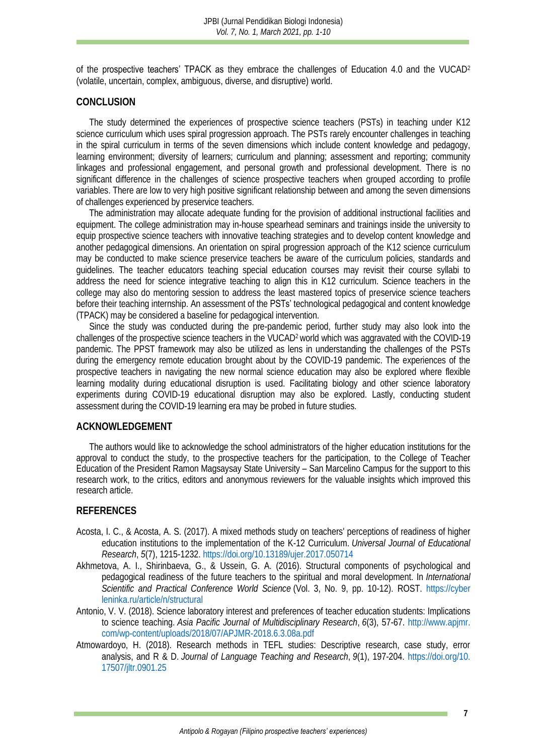of the prospective teachers' TPACK as they embrace the challenges of Education 4.0 and the VUCAD<sup>2</sup> (volatile, uncertain, complex, ambiguous, diverse, and disruptive) world.

#### **CONCLUSION**

The study determined the experiences of prospective science teachers (PSTs) in teaching under K12 science curriculum which uses spiral progression approach. The PSTs rarely encounter challenges in teaching in the spiral curriculum in terms of the seven dimensions which include content knowledge and pedagogy, learning environment; diversity of learners; curriculum and planning; assessment and reporting; community linkages and professional engagement, and personal growth and professional development. There is no significant difference in the challenges of science prospective teachers when grouped according to profile variables. There are low to very high positive significant relationship between and among the seven dimensions of challenges experienced by preservice teachers.

The administration may allocate adequate funding for the provision of additional instructional facilities and equipment. The college administration may in-house spearhead seminars and trainings inside the university to equip prospective science teachers with innovative teaching strategies and to develop content knowledge and another pedagogical dimensions. An orientation on spiral progression approach of the K12 science curriculum may be conducted to make science preservice teachers be aware of the curriculum policies, standards and guidelines. The teacher educators teaching special education courses may revisit their course syllabi to address the need for science integrative teaching to align this in K12 curriculum. Science teachers in the college may also do mentoring session to address the least mastered topics of preservice science teachers before their teaching internship. An assessment of the PSTs' technological pedagogical and content knowledge (TPACK) may be considered a baseline for pedagogical intervention.

Since the study was conducted during the pre-pandemic period, further study may also look into the challenges of the prospective science teachers in the VUCAD2 world which was aggravated with the COVID-19 pandemic. The PPST framework may also be utilized as lens in understanding the challenges of the PSTs during the emergency remote education brought about by the COVID-19 pandemic. The experiences of the prospective teachers in navigating the new normal science education may also be explored where flexible learning modality during educational disruption is used. Facilitating biology and other science laboratory experiments during COVID-19 educational disruption may also be explored. Lastly, conducting student assessment during the COVID-19 learning era may be probed in future studies.

#### **ACKNOWLEDGEMENT**

The authors would like to acknowledge the school administrators of the higher education institutions for the approval to conduct the study, to the prospective teachers for the participation, to the College of Teacher Education of the President Ramon Magsaysay State University – San Marcelino Campus for the support to this research work, to the critics, editors and anonymous reviewers for the valuable insights which improved this research article.

#### **REFERENCES**

- <span id="page-6-0"></span>Acosta, I. C., & Acosta, A. S. (2017). A mixed methods study on teachers' perceptions of readiness of higher education institutions to the implementation of the K-12 Curriculum. *Universal Journal of Educational Research*, *5*(7), 1215-1232.<https://doi.org/10.13189/ujer.2017.050714>
- <span id="page-6-3"></span>Akhmetova, A. I., Shirinbaeva, G., & Ussein, G. A. (2016). Structural components of psychological and pedagogical readiness of the future teachers to the spiritual and moral development. In *International Scientific and Practical Conference World Science* (Vol. 3, No. 9, pp. 10-12). ROST. [https://cyber](https://cyberleninka.ru/article/n/structural-components-of-psychological-and-pedagogical-readiness-of-the-future-teachers-to-the-spiritual-and-moral-development) [leninka.ru/article/n/structural](https://cyberleninka.ru/article/n/structural-components-of-psychological-and-pedagogical-readiness-of-the-future-teachers-to-the-spiritual-and-moral-development)
- <span id="page-6-1"></span>Antonio, V. V. (2018). Science laboratory interest and preferences of teacher education students: Implications to science teaching. *Asia Pacific Journal of Multidisciplinary Research*, *6*(3), 57-67. [http://www.apjmr.](http://www.apjmr.com/wp-content/uploads/2018/07/APJMR-2018.6.3.08a.pdf) [com/wp-content/uploads/2018/07/APJMR-2018.6.3.08a.pdf](http://www.apjmr.com/wp-content/uploads/2018/07/APJMR-2018.6.3.08a.pdf)
- <span id="page-6-2"></span>Atmowardoyo, H. (2018). Research methods in TEFL studies: Descriptive research, case study, error analysis, and R & D. *Journal of Language Teaching and Research*, *9*(1), 197-204. [https://doi.org/10.](https://doi.org/10.17507/jltr.0901.25) [17507/jltr.0901.25](https://doi.org/10.17507/jltr.0901.25)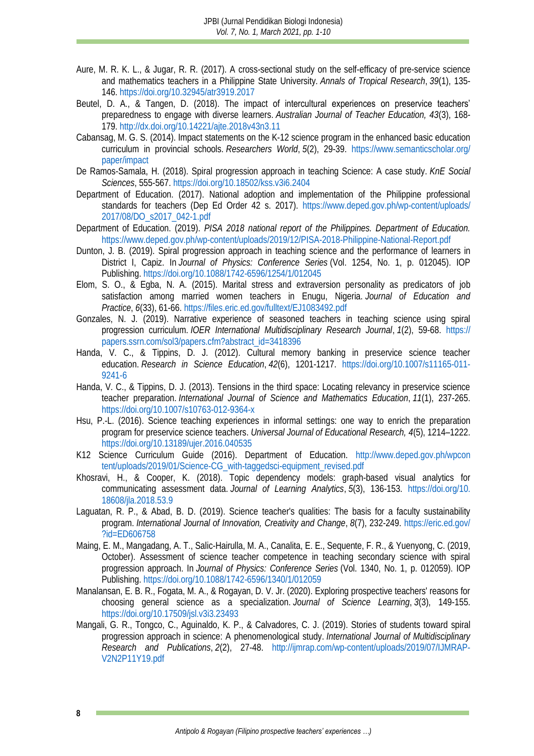- <span id="page-7-10"></span>Aure, M. R. K. L., & Jugar, R. R. (2017). A cross-sectional study on the self-efficacy of pre-service science and mathematics teachers in a Philippine State University. *Annals of Tropical Research*, *39*(1), 135- 146[. https://doi.org/10.32945/atr3919.2017](https://doi.org/10.32945/atr3919.2017)
- <span id="page-7-14"></span>Beutel, D. A., & Tangen, D. (2018). The impact of intercultural experiences on preservice teachers' preparedness to engage with diverse learners. *Australian Journal of Teacher Education, 43*(3), 168- 179[. http://dx.doi.org/10.14221/ajte.2018v43n3.11](http://dx.doi.org/10.14221/ajte.2018v43n3.11)
- <span id="page-7-3"></span>Cabansag, M. G. S. (2014). Impact statements on the K-12 science program in the enhanced basic education curriculum in provincial schools. *Researchers World*, *5*(2), 29-39. [https://www.semanticscholar.org/](https://www.semanticscholar.org/paper/IMPACT-STATEMENTS-ON-THE-K-12-SCIENCE-PROGRAM-IN-IN-Cabansag/51a4fd735b245c7734f34afd1217bb3298ce12de) [paper/impact](https://www.semanticscholar.org/paper/IMPACT-STATEMENTS-ON-THE-K-12-SCIENCE-PROGRAM-IN-IN-Cabansag/51a4fd735b245c7734f34afd1217bb3298ce12de)
- <span id="page-7-4"></span>De Ramos-Samala, H. (2018). Spiral progression approach in teaching Science: A case study. *KnE Social Sciences*, 555-567.<https://doi.org/10.18502/kss.v3i6.2404>
- <span id="page-7-13"></span>Department of Education. (2017). National adoption and implementation of the Philippine professional standards for teachers (Dep Ed Order 42 s. 2017). [https://www.deped.gov.ph/wp-content/uploads/](https://www.deped.gov.ph/wp-content/uploads/2017/08/DO_s2017_042-1.pdf) [2017/08/DO\\_s2017\\_042-1.pdf](https://www.deped.gov.ph/wp-content/uploads/2017/08/DO_s2017_042-1.pdf)
- <span id="page-7-1"></span>Department of Education. (2019). *PISA 2018 national report of the Philippines. Department of Education.*  <https://www.deped.gov.ph/wp-content/uploads/2019/12/PISA-2018-Philippine-National-Report.pdf>
- <span id="page-7-5"></span>Dunton, J. B. (2019). Spiral progression approach in teaching science and the performance of learners in District I, Capiz. In *Journal of Physics: Conference Series* (Vol. 1254, No. 1, p. 012045). IOP Publishing. <https://doi.org/10.1088/1742-6596/1254/1/012045>
- <span id="page-7-17"></span>Elom, S. O., & Egba, N. A. (2015). Marital stress and extraversion personality as predicators of job satisfaction among married women teachers in Enugu, Nigeria. *Journal of Education and Practice*, *6*(33), 61-66. <https://files.eric.ed.gov/fulltext/EJ1083492.pdf>
- <span id="page-7-6"></span>Gonzales, N. J. (2019). Narrative experience of seasoned teachers in teaching science using spiral progression curriculum. *IOER International Multidisciplinary Research Journal*, *1*(2), 59-68. [https://](https://papers.ssrn.com/sol3/papers.cfm?abstract_id=3418396) [papers.ssrn.com/sol3/papers.cfm?abstract\\_id=3418396](https://papers.ssrn.com/sol3/papers.cfm?abstract_id=3418396)
- <span id="page-7-11"></span>Handa, V. C., & Tippins, D. J. (2012). Cultural memory banking in preservice science teacher education. *Research in Science Education*, *42*(6), 1201-1217. [https://doi.org/10.1007/s11165-011-](https://doi.org/10.1007/s11165-011-9241-6) [9241-6](https://doi.org/10.1007/s11165-011-9241-6)
- <span id="page-7-12"></span>Handa, V. C., & Tippins, D. J. (2013). Tensions in the third space: Locating relevancy in preservice science teacher preparation. *International Journal of Science and Mathematics Education*, *11*(1), 237-265. <https://doi.org/10.1007/s10763-012-9364-x>
- <span id="page-7-15"></span>Hsu, P.-L. (2016). Science teaching experiences in informal settings: one way to enrich the preparation program for preservice science teachers. *Universal Journal of Educational Research, 4*(5), 1214–1222. <https://doi.org/10.13189/ujer.2016.040535>
- <span id="page-7-2"></span>K12 Science Curriculum Guide (2016). Department of Education. [http://www.deped.gov.ph/wpcon](http://www.deped.gov.ph/wpcontent/uploads/2019/01/Science-CG_with-taggedsci-equipment_revised.pdf) [tent/uploads/2019/01/Science-CG\\_with-taggedsci-equipment\\_revised.pdf](http://www.deped.gov.ph/wpcontent/uploads/2019/01/Science-CG_with-taggedsci-equipment_revised.pdf)
- <span id="page-7-16"></span>Khosravi, H., & Cooper, K. (2018). Topic dependency models: graph-based visual analytics for communicating assessment data. *Journal of Learning Analytics*, *5*(3), 136-153. [https://doi.org/10.](https://doi.org/10.18608/jla.2018.53.9) [18608/jla.2018.53.9](https://doi.org/10.18608/jla.2018.53.9)
- <span id="page-7-0"></span>Laguatan, R. P., & Abad, B. D. (2019). Science teacher's qualities: The basis for a faculty sustainability program. *International Journal of Innovation, Creativity and Change*, *8*(7), 232-249. [https://eric.ed.gov/](https://eric.ed.gov/?id=ED606758) [?id=ED606758](https://eric.ed.gov/?id=ED606758)
- <span id="page-7-7"></span>Maing, E. M., Mangadang, A. T., Salic-Hairulla, M. A., Canalita, E. E., Sequente, F. R., & Yuenyong, C. (2019, October). Assessment of science teacher competence in teaching secondary science with spiral progression approach. In *Journal of Physics: Conference Series* (Vol. 1340, No. 1, p. 012059). IOP Publishing. <https://doi.org/10.1088/1742-6596/1340/1/012059>
- <span id="page-7-9"></span>Manalansan, E. B. R., Fogata, M. A., & Rogayan, D. V. Jr. (2020). Exploring prospective teachers' reasons for choosing general science as a specialization. *Journal of Science Learning*, *3*(3), 149-155. <https://doi.org/10.17509/jsl.v3i3.23493>
- <span id="page-7-8"></span>Mangali, G. R., Tongco, C., Aguinaldo, K. P., & Calvadores, C. J. (2019). Stories of students toward spiral progression approach in science: A phenomenological study. *International Journal of Multidisciplinary Research and Publications*, *2*(2), 27-48. [http://ijmrap.com/wp-content/uploads/2019/07/IJMRAP-](http://ijmrap.com/wp-content/uploads/2019/07/IJMRAP-V2N2P11Y19.pdf)[V2N2P11Y19.pdf](http://ijmrap.com/wp-content/uploads/2019/07/IJMRAP-V2N2P11Y19.pdf)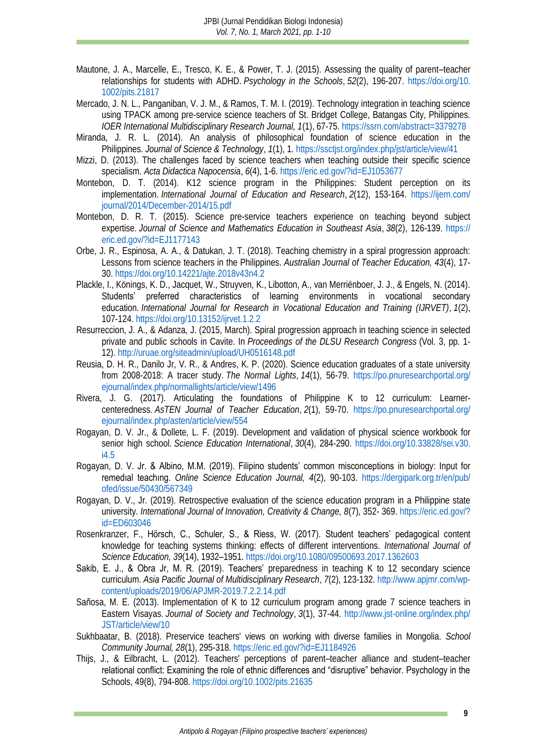- <span id="page-8-13"></span>Mautone, J. A., Marcelle, E., Tresco, K. E., & Power, T. J. (2015). Assessing the quality of parent–teacher relationships for students with ADHD. *Psychology in the Schools*, *52*(2), 196-207. [https://doi.org/10.](https://doi.org/10.1002/pits.21817) [1002/pits.21817](https://doi.org/10.1002/pits.21817)
- <span id="page-8-9"></span>Mercado, J. N. L., Panganiban, V. J. M., & Ramos, T. M. I. (2019). Technology integration in teaching science using TPACK among pre-service science teachers of St. Bridget College, Batangas City, Philippines. *IOER International Multidisciplinary Research Journal, 1*(1), 67-75.<https://ssrn.com/abstract=3379278>
- Miranda, J. R. L. (2014). An analysis of philosophical foundation of science education in the Philippines. *Journal of Science & Technology*, *1*(1), 1. <https://ssctjst.org/index.php/jst/article/view/41>
- <span id="page-8-2"></span>Mizzi, D. (2013). The challenges faced by science teachers when teaching outside their specific science specialism. *Acta Didactica Napocensia*, *6*(4), 1-6. <https://eric.ed.gov/?id=EJ1053677>
- <span id="page-8-3"></span>Montebon, D. T. (2014). K12 science program in the Philippines: Student perception on its implementation. *International Journal of Education and Research*, *2*(12), 153-164. [https://ijern.com/](https://ijern.com/journal/2014/December-2014/15.pdf) [journal/2014/December-2014/15.pdf](https://ijern.com/journal/2014/December-2014/15.pdf)
- Montebon, D. R. T. (2015). Science pre-service teachers experience on teaching beyond subject expertise. *Journal of Science and Mathematics Education in Southeast Asia*, *38*(2), 126-139. [https://](https://eric.ed.gov/?id=EJ1177143) [eric.ed.gov/?id=EJ1177143](https://eric.ed.gov/?id=EJ1177143)
- <span id="page-8-6"></span>Orbe, J. R., Espinosa, A. A., & Datukan, J. T. (2018). Teaching chemistry in a spiral progression approach: Lessons from science teachers in the Philippines. *Australian Journal of Teacher Education, 43*(4), 17- 30[. https://doi.org/10.14221/ajte.2018v43n4.2](https://doi.org/10.14221/ajte.2018v43n4.2)
- <span id="page-8-11"></span>Plackle, I., Könings, K. D., Jacquet, W., Struyven, K., Libotton, A., van Merriënboer, J. J., & Engels, N. (2014). Students' preferred characteristics of learning environments in vocational secondary education. *International Journal for Research in Vocational Education and Training (IJRVET)*, *1*(2), 107-124[. https://doi.org/10.13152/ijrvet.1.2.2](https://doi.org/10.13152/ijrvet.1.2.2)
- <span id="page-8-7"></span>Resurreccion, J. A., & Adanza, J. (2015, March). Spiral progression approach in teaching science in selected private and public schools in Cavite. In *Proceedings of the DLSU Research Congress* (Vol. 3, pp. 1- 12). <http://uruae.org/siteadmin/upload/UH0516148.pdf>
- <span id="page-8-15"></span>Reusia, D. H. R., Danilo Jr, V. R., & Andres, K. P. (2020). Science education graduates of a state university from 2008-2018: A tracer study. *The Normal Lights*, *14*(1), 56-79. [https://po.pnuresearchportal.org/](https://po.pnuresearchportal.org/ejournal/index.php/normallights/article/view/1496) [ejournal/index.php/normallights/article/view/1496](https://po.pnuresearchportal.org/ejournal/index.php/normallights/article/view/1496)
- <span id="page-8-4"></span>Rivera, J. G. (2017). Articulating the foundations of Philippine K to 12 curriculum: Learnercenteredness. *AsTEN Journal of Teacher Education*, *2*(1), 59-70. [https://po.pnuresearchportal.org/](https://po.pnuresearchportal.org/ejournal/index.php/asten/article/view/554) [ejournal/index.php/asten/article/view/554](https://po.pnuresearchportal.org/ejournal/index.php/asten/article/view/554)
- <span id="page-8-1"></span>Rogayan, D. V. Jr., & Dollete, L. F. (2019). Development and validation of physical science workbook for senior high school. *Science Education International*, *30*(4), 284-290. [https://doi.org/10.33828/sei.v30.](https://doi.org/10.33828/sei.v30.i4.5) [i4.5](https://doi.org/10.33828/sei.v30.i4.5)
- <span id="page-8-0"></span>Rogayan, D. V. Jr. & Albino, M.M. (2019). Filipino students' common misconceptions in biology: Input for remedıal teachıng. *Online Science Education Journal, 4*(2), 90-103. [https://dergipark.org.tr/en/pub/](https://dergipark.org.tr/en/pub/ofed/issue/50430/567349) [ofed/issue/50430/567349](https://dergipark.org.tr/en/pub/ofed/issue/50430/567349)
- Rogayan, D. V., Jr. (2019). Retrospective evaluation of the science education program in a Philippine state university. *International Journal of Innovation, Creativity & Change, 8*(7), 352- 369. [https://eric.ed.gov/?](https://eric.ed.gov/?id=ED603046) [id=ED603046](https://eric.ed.gov/?id=ED603046)
- <span id="page-8-10"></span>Rosenkranzer, F., Hörsch, C., Schuler, S., & Riess, W. (2017). Student teachers' pedagogical content knowledge for teaching systems thinking: effects of different interventions. *International Journal of Science Education, 39*(14), 1932–1951[. https://doi.org/10.1080/09500693.2017.1362603](https://doi.org/10.1080/09500693.2017.1362603)
- <span id="page-8-8"></span>Sakib, E. J., & Obra Jr, M. R. (2019). Teachers' preparedness in teaching K to 12 secondary science curriculum. *Asia Pacific Journal of Multidisciplinary Research*, *7*(2), 123-132. [http://www.apjmr.com/wp](http://www.apjmr.com/wp-content/uploads/2019/06/APJMR-2019.7.2.2.14.pdf)[content/uploads/2019/06/APJMR-2019.7.2.2.14.pdf](http://www.apjmr.com/wp-content/uploads/2019/06/APJMR-2019.7.2.2.14.pdf)
- <span id="page-8-5"></span>Sañosa, M. E. (2013). Implementation of K to 12 curriculum program among grade 7 science teachers in Eastern Visayas. *Journal of Society and Technology*, *3*(1), 37-44. [http://www.jst-online.org/index.php/](http://www.jst-online.org/index.php/JST/article/view/10) [JST/article/view/10](http://www.jst-online.org/index.php/JST/article/view/10)
- <span id="page-8-14"></span>Sukhbaatar, B. (2018). Preservice teachers' views on working with diverse families in Mongolia. *School Community Journal, 28*(1), 295-318. <https://eric.ed.gov/?id=EJ1184926>
- <span id="page-8-12"></span>Thijs, J., & Eilbracht, L. (2012). Teachers' perceptions of parent–teacher alliance and student–teacher relational conflict: Examining the role of ethnic differences and "disruptive" behavior. Psychology in the Schools, 49(8), 794-808[. https://doi.org/10.1002/pits.21635](https://doi.org/10.1002/pits.21635)